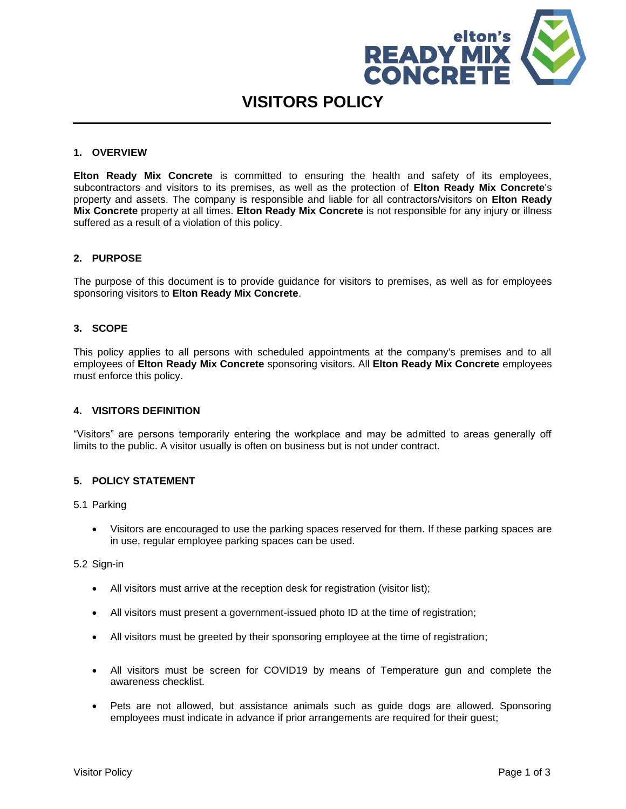

# **VISITORS POLICY**

#### **1. OVERVIEW**

**Elton Ready Mix Concrete** is committed to ensuring the health and safety of its employees, subcontractors and visitors to its premises, as well as the protection of **Elton Ready Mix Concrete**'s property and assets. The company is responsible and liable for all contractors/visitors on **Elton Ready Mix Concrete** property at all times. **Elton Ready Mix Concrete** is not responsible for any injury or illness suffered as a result of a violation of this policy.

#### **2. PURPOSE**

The purpose of this document is to provide guidance for visitors to premises, as well as for employees sponsoring visitors to **Elton Ready Mix Concrete**.

#### **3. SCOPE**

This policy applies to all persons with scheduled appointments at the company's premises and to all employees of **Elton Ready Mix Concrete** sponsoring visitors. All **Elton Ready Mix Concrete** employees must enforce this policy.

#### **4. VISITORS DEFINITION**

"Visitors" are persons temporarily entering the workplace and may be admitted to areas generally off limits to the public. A visitor usually is often on business but is not under contract.

### **5. POLICY STATEMENT**

5.1 Parking

• Visitors are encouraged to use the parking spaces reserved for them. If these parking spaces are in use, regular employee parking spaces can be used.

5.2 Sign-in

- All visitors must arrive at the reception desk for registration (visitor list);
- All visitors must present a government-issued photo ID at the time of registration;
- All visitors must be greeted by their sponsoring employee at the time of registration;
- All visitors must be screen for COVID19 by means of Temperature gun and complete the awareness checklist.
- Pets are not allowed, but assistance animals such as guide dogs are allowed. Sponsoring employees must indicate in advance if prior arrangements are required for their guest;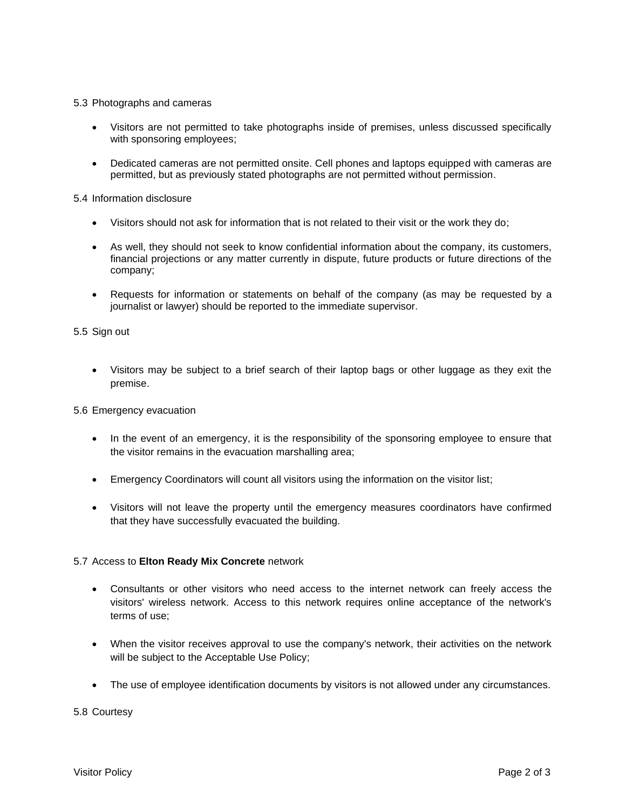#### 5.3 Photographs and cameras

- Visitors are not permitted to take photographs inside of premises, unless discussed specifically with sponsoring employees;
- Dedicated cameras are not permitted onsite. Cell phones and laptops equipped with cameras are permitted, but as previously stated photographs are not permitted without permission.

5.4 Information disclosure

- Visitors should not ask for information that is not related to their visit or the work they do;
- As well, they should not seek to know confidential information about the company, its customers, financial projections or any matter currently in dispute, future products or future directions of the company;
- Requests for information or statements on behalf of the company (as may be requested by a journalist or lawyer) should be reported to the immediate supervisor.

5.5 Sign out

• Visitors may be subject to a brief search of their laptop bags or other luggage as they exit the premise.

5.6 Emergency evacuation

- In the event of an emergency, it is the responsibility of the sponsoring employee to ensure that the visitor remains in the evacuation marshalling area;
- Emergency Coordinators will count all visitors using the information on the visitor list;
- Visitors will not leave the property until the emergency measures coordinators have confirmed that they have successfully evacuated the building.

#### 5.7 Access to **Elton Ready Mix Concrete** network

- Consultants or other visitors who need access to the internet network can freely access the visitors' wireless network. Access to this network requires online acceptance of the network's terms of use;
- When the visitor receives approval to use the company's network, their activities on the network will be subject to the Acceptable Use Policy;
- The use of employee identification documents by visitors is not allowed under any circumstances.

5.8 Courtesy